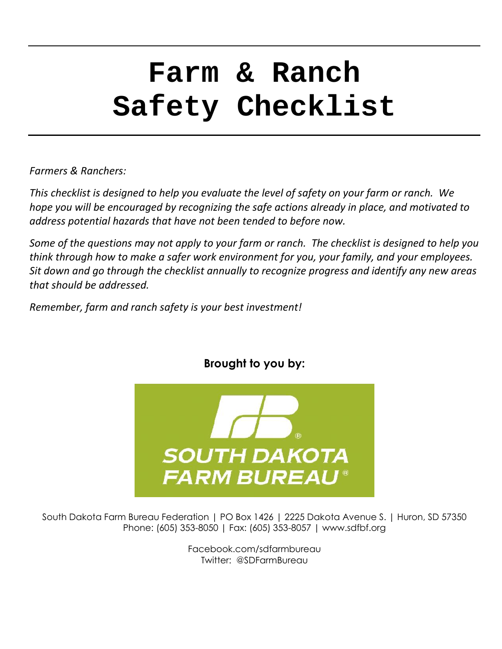# **Farm & Ranch Safety Checklist**

*Farmers & Ranchers:*

*This checklist is designed to help you evaluate the level of safety on your farm or ranch. We hope you will be encouraged by recognizing the safe actions already in place, and motivated to address potential hazards that have not been tended to before now.*

*Some of the questions may not apply to your farm or ranch. The checklist is designed to help you think through how to make a safer work environment for you, your family, and your employees. Sit down and go through the checklist annually to recognize progress and identify any new areas that should be addressed.*

*Remember, farm and ranch safety is your best investment!*



#### **Brought to you by:**

South Dakota Farm Bureau Federation | PO Box 1426 | 2225 Dakota Avenue S. | Huron, SD 57350 Phone: (605) 353-8050 | Fax: (605) 353-8057 | www.sdfbf.org

> Facebook.com/sdfarmbureau Twitter: @SDFarmBureau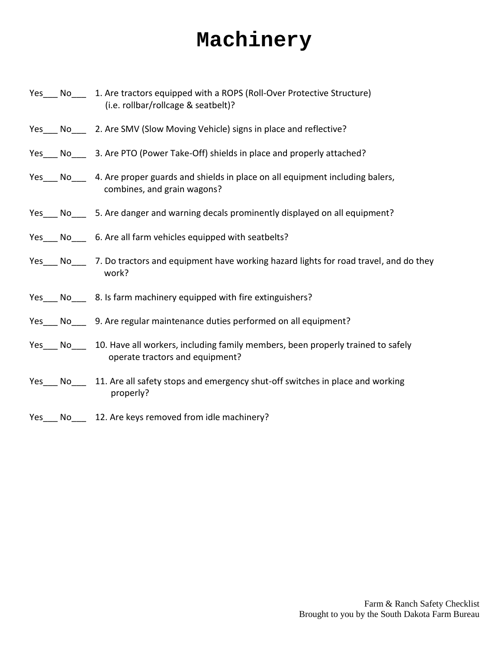# **Machinery**

|     | Yes No 1. Are tractors equipped with a ROPS (Roll-Over Protective Structure)<br>(i.e. rollbar/rollcage & seatbelt)?       |
|-----|---------------------------------------------------------------------------------------------------------------------------|
|     | Yes ___ No _____ 2. Are SMV (Slow Moving Vehicle) signs in place and reflective?                                          |
| Yes | No 3. Are PTO (Power Take-Off) shields in place and properly attached?                                                    |
|     | Yes No 4. Are proper guards and shields in place on all equipment including balers,<br>combines, and grain wagons?        |
|     | Yes ___ No ____ 5. Are danger and warning decals prominently displayed on all equipment?                                  |
|     | Yes ____ No _____ 6. Are all farm vehicles equipped with seatbelts?                                                       |
|     | Yes No 7. Do tractors and equipment have working hazard lights for road travel, and do they<br>work?                      |
|     | Yes ___ No ____ 8. Is farm machinery equipped with fire extinguishers?                                                    |
| Yes | No _______ 9. Are regular maintenance duties performed on all equipment?                                                  |
|     | Yes No 10. Have all workers, including family members, been properly trained to safely<br>operate tractors and equipment? |
|     | Yes ___ No ___ 11. Are all safety stops and emergency shut-off switches in place and working<br>properly?                 |
| No  | 12. Are keys removed from idle machinery?                                                                                 |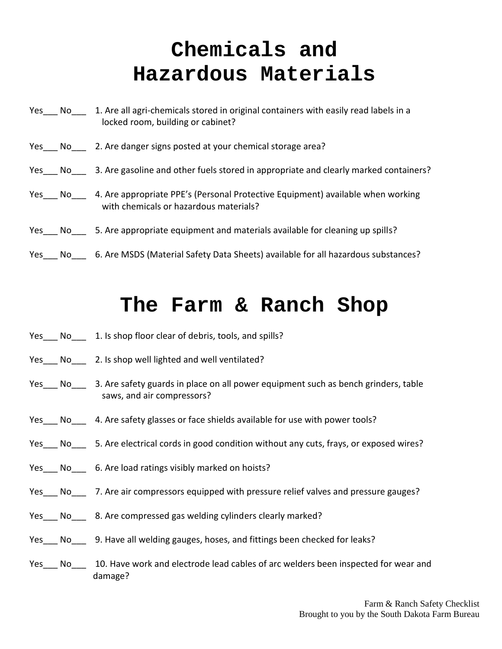# **Chemicals and Hazardous Materials**

Yes\_\_\_ No\_\_\_ 1. Are all agri-chemicals stored in original containers with easily read labels in a locked room, building or cabinet? Yes No 2. Are danger signs posted at your chemical storage area? Yes No 3. Are gasoline and other fuels stored in appropriate and clearly marked containers? Yes No 4. Are appropriate PPE's (Personal Protective Equipment) available when working with chemicals or hazardous materials? Yes No 5. Are appropriate equipment and materials available for cleaning up spills? Yes No G. Are MSDS (Material Safety Data Sheets) available for all hazardous substances?

#### **The Farm & Ranch Shop**

- Yes No 1. Is shop floor clear of debris, tools, and spills?
- Yes No 2. Is shop well lighted and well ventilated?
- Yes No 3. Are safety guards in place on all power equipment such as bench grinders, table saws, and air compressors?
- Yes No 4. Are safety glasses or face shields available for use with power tools?
- Yes No 5. Are electrical cords in good condition without any cuts, frays, or exposed wires?
- Yes No G. Are load ratings visibly marked on hoists?
- Yes No 7. Are air compressors equipped with pressure relief valves and pressure gauges?
- Yes No 8. Are compressed gas welding cylinders clearly marked?
- Yes No g. Have all welding gauges, hoses, and fittings been checked for leaks?
- Yes\_\_\_ No\_\_\_ 10. Have work and electrode lead cables of arc welders been inspected for wear and damage?